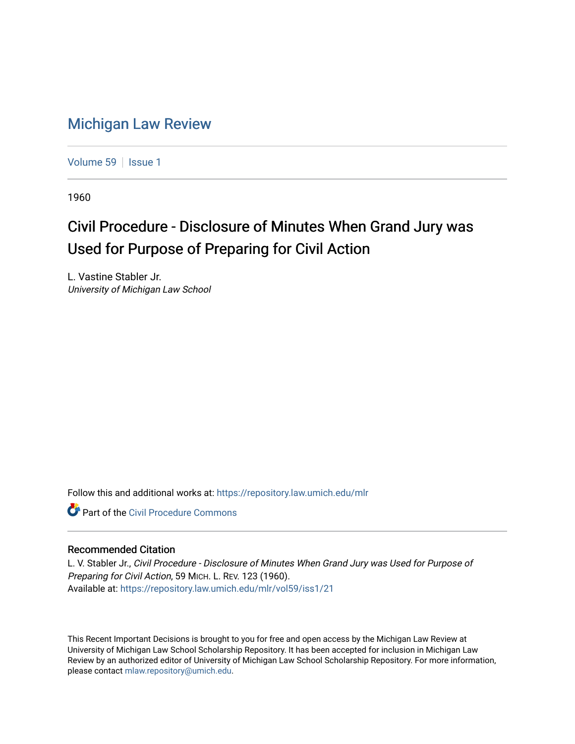## [Michigan Law Review](https://repository.law.umich.edu/mlr)

[Volume 59](https://repository.law.umich.edu/mlr/vol59) | [Issue 1](https://repository.law.umich.edu/mlr/vol59/iss1)

1960

## Civil Procedure - Disclosure of Minutes When Grand Jury was Used for Purpose of Preparing for Civil Action

L. Vastine Stabler Jr. University of Michigan Law School

Follow this and additional works at: [https://repository.law.umich.edu/mlr](https://repository.law.umich.edu/mlr?utm_source=repository.law.umich.edu%2Fmlr%2Fvol59%2Fiss1%2F21&utm_medium=PDF&utm_campaign=PDFCoverPages) 

**C** Part of the Civil Procedure Commons

## Recommended Citation

L. V. Stabler Jr., Civil Procedure - Disclosure of Minutes When Grand Jury was Used for Purpose of Preparing for Civil Action, 59 MICH. L. REV. 123 (1960). Available at: [https://repository.law.umich.edu/mlr/vol59/iss1/21](https://repository.law.umich.edu/mlr/vol59/iss1/21?utm_source=repository.law.umich.edu%2Fmlr%2Fvol59%2Fiss1%2F21&utm_medium=PDF&utm_campaign=PDFCoverPages) 

This Recent Important Decisions is brought to you for free and open access by the Michigan Law Review at University of Michigan Law School Scholarship Repository. It has been accepted for inclusion in Michigan Law Review by an authorized editor of University of Michigan Law School Scholarship Repository. For more information, please contact [mlaw.repository@umich.edu.](mailto:mlaw.repository@umich.edu)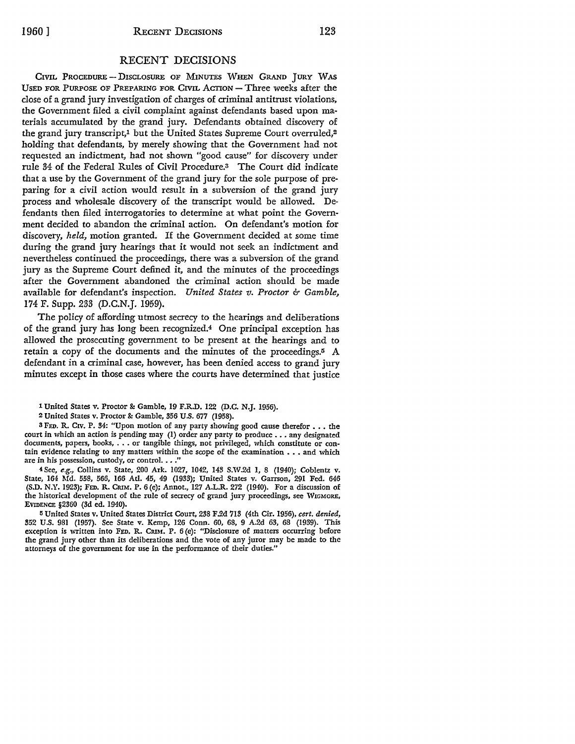## RECENT DECISIONS

CIVIL PROCEDURE - DISCLOSURE OF MINUTES WHEN GRAND JURY WAS USED FOR PURPOSE OF PREPARING FOR CIVIL ACTION - Three weeks after the close of a grand jury investigation of charges of criminal antitrust violations, the Government filed a civil complaint against defendants based upon materials accumulated by the grand jury. Defendants obtained discovery of the grand jury transcript,<sup>1</sup> but the United States Supreme Court overruled,<sup>2</sup> holding that defendants, by merely showing that the Government had not requested an indictment, had not shown "good cause" for discovery under rule 34 of the Federal Rules of Civil Procedure.3 The Court did indicate that a use by the Government of the grand jury for the sole purpose of preparing for a civil action would result in a subversion of the grand jury process and wholesale discovery of the transcript would be allowed. Defendants then filed interrogatories to determine at what point the Government decided to abandon the criminal action. On defendant's motion for discovery, *held,* motion granted. If the Government decided at some time during the grand jury hearings that it would not seek an indictment and nevertheless continued the proceedings, there was a subversion of the grand jury as the Supreme Court defined it, and the minutes of the proceedings after the Government abandoned the criminal action should be made available for defendant's inspection. *United States v. Proctor & Gamble,*  174 F. Supp. 233 (D.C.N.J. 1959).

The policy of affording utmost secrecy to the hearings and deliberations of the grand jury has long been recognized.4 One principal exception has allowed the prosecuting government to be present at the hearings and to retain a copy of the documents and the minutes of the proceedings.5 A defendant in a criminal case, however, has been denied access to grand jury minutes except in those cases where the courts have determined that justice

1 United States v. Proctor & Gamble, 19 F.R.D. 122 (D.C. N.J. 1956).

3 FED. R. CIV. P. 34: "Upon motion of any party showing good cause therefor . . . the court in which an action is pending may (1) order any party to produce ..• any designated documents, papers, books, . . . or tangible things, not privileged, which constitute or contain evidence relating to any matters within the scope of the examination  $\dots$  and which are in his possession, custody, or control. . . ."

4 See, *e.g.,* Collins v. State, 200 Ark. 1027, 1042, 143 S.W .2d 1, 8 (1940); Coblentz v. State, 164 Md. 558, 566, 166 Atl. 45, 49 (1933); United States v. Garrson, 291 Fed. 646 (S.D. N.Y. 1923); FED. R. CRIM. P. 6 (e); Annot., 127 A.L.R. 272 (1940). For a discussion of the historical development of the rule of secrecy of grand jury proceedings, see W1GM0RE, EVIDENCE §2360 (3d ed. 1940).

15 United States v. United States District Court, 238 F.2d 713 (4th Cir. 1956), *cert. denied,*  352 U.S. 981 (1957). See State v. Kemp, 126 Conn. 60, 68, 9 A.2d 63, 68 (1939). This exception is written into FED. R. CRIM. P. 6 (e): "Disclosure of matters occurring before the grand jury other than its deliberations and the vote of any juror may be made to the attorneys of the government for use in the performance of their duties."

<sup>2</sup> United States v. Proctor & Gamble, 356 U.S. 677 (1958).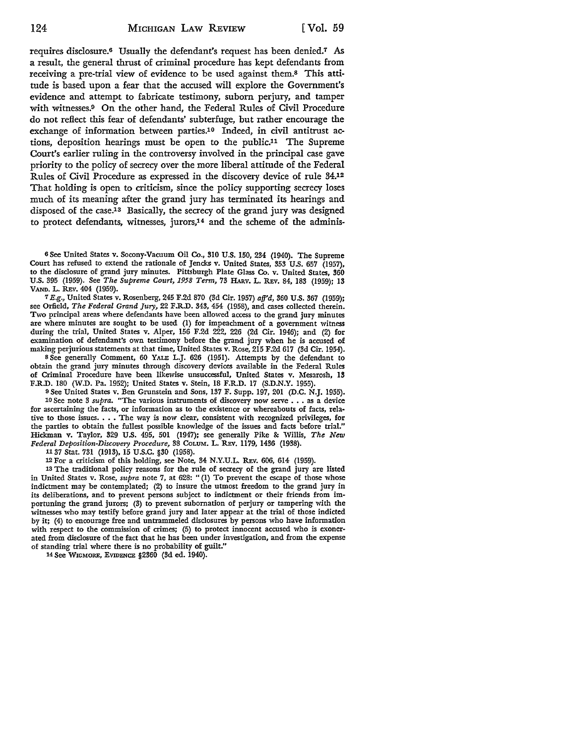requires disclosure.6 Usually the defendant's request has been denied.7 *As*  a result, the general thrust of criminal procedure has kept defendants from receiving a pre-trial view of evidence to be used against them.8 This attitude is based upon a fear that the accused will explore the Government's evidence and attempt to fabricate testimony, suborn perjury, and tamper with witnesses.9 On the other hand, the Federal Rules of Civil Procedure do not reflect this fear of defendants' subterfuge, but rather encourage the exchange of information between parties.10 Indeed, in civil antitrust actions, deposition hearings must be open to the public.11 The Supreme Court's earlier ruling in the controversy involved in the principal case gave priority to the policy of secrecy over the more liberal attitude of the Federal Rules of Civil Procedure as expressed in the discovery device of rule 34.<sup>12</sup> That holding is open to criticism, since the policy supporting secrecy loses much of its meaning after the grand jury has terminated its hearings and disposed of the case.<sup>13</sup> Basically, the secrecy of the grand jury was designed to protect defendants, witnesses, jurors,<sup>14</sup> and the scheme of the adminis-

<sup>6</sup>See United States v. Socony-Vacuum Oil Co., 310 U.S. 150, 234 (1940). The Supreme Court has refused to extend the rationale of Jencks v. United States, 353 U.S. 657 (1957), to the disclosure of grand jury minutes. Pittsburgh Plate Glass Co. v. United States, 360 U.S. 395 (1959). See *The Supreme Court, 1958 Term,* 73 HARV. L. REv. 84, 183 (1959); 13 VANn. L. REv. 404 (1959).

7 E.g., United States v. Rosenberg, 245 F.2d 870 (3d Cir. 1957) *afj'd,* 360 U.S. 367 (1959); see Orfield, *The Federal Grand Jury,* 22 F.R.D. 343, 454 (1958), and cases collected therein. Two principal areas where defendants have been allowed access to the grand jury minutes are where minutes are sought to be used (1) for impeachment of a government witness during the trial, United States v. Alper, 156 F.2d 222, 226 (2d Cir. 1946); and (2) for examination of defendant's own testimony before the grand jury when he is accused of making perjurious statements at that time, United States v. Rose, 215 F.2d 617 (3d Cir. 1954).

8 See generally Comment, 60 YALE L.J. 626 (1951). Attempts by the defendant to obtain the grand jury minutes through discovery devices available in the Federal Rules of Criminal Procedure have been likewise unsuccessful, United States v. Mesarosh, **13**  F.R.D. 180 (W.D. Pa. 1952); United States v. Stein, 18 F.R.D. 17 (S.D.N.Y. 1955).

<sup>9</sup>See United States v. Ben Grunstein and Sons, 137 F. Supp. 197, 201 (D.C. N.J. 1955). 10 See note 3 *supra*. "The various instruments of discovery now serve . . . as a device for ascertaining the facts, or information as to the existence or whereabouts of facts, relative to those issues ..•. The way is now clear, consistent with recognized privileges, for the parties to obtain the fullest possible knowledge of the issues and facts before trial." Hickman v. Taylor, 329 U.S. 495, 501 (1947); see generally Pike &: Willis, *The New Federal Deposition-Discovery Procedure,* 38 CoLUM. L. REv. 1179, 1436 (1938).

11 37 Stat. 731 (1913), 15 U .S.C. §30 (1958).

12 For a criticism of this holding, see Note, 34 N.Y.U.L. REv. 606, 614 (1959).

13 The traditional policy reasons for the rule of secrecy of the grand jury are listed in United States v. Rose, *supra* note 7, at 628: "(1) To prevent the escape of those whose indictment may be contemplated; (2) to insure the utmost freedom to the grand jury in its deliberations, and to prevent persons subject to indictment or their friends from importuning the grand jurors; (3) to prevent subornation of perjury or tampering with the witnesses who may testify before grand jury and later appear at the trial of those indicted by it; (4) to encourage free and untrammeled disclosures by persons who have information with respect to the commission of crimes; (5) to protect innocent accused who is exonerated from disclosure of the fact that he has been under investigation, and from the expense of standing trial where there is no probability of guilt."

14 See WIGMORE, EVIDENCE §2360 (3d ed. 1940).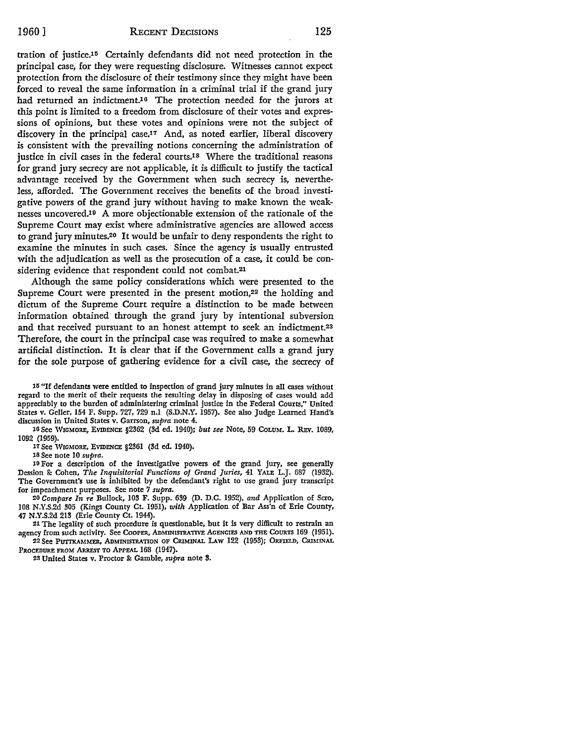tration of justice.<sup>15</sup> Certainly defendants did not need protection in the principal case, for they were requesting disclosure. Witnesses cannot expect protection from the disclosure of their testimony since they might have been forced to reveal the same information in a criminal trial if the grand jury had returned an indictment.16 The protection needed for the jurors at this point is limited to a freedom from disclosure of their votes and expressions of opinions, but these votes and opinions were not the subject of discovery in the principal case.<sup>17</sup> And, as noted earlier, liberal discovery is consistent with the prevailing notions concerning the administration of justice in civil cases in the federal courts.<sup>18</sup> Where the traditional reasons for grand jury secrecy are not applicable, it is difficult to justify the tactical advantage received by the Government when such secrecy is, nevertheless, afforded. The Government receives the benefits of the broad investigative powers of the grand jury without having to make known the weaknesses uncovered.10 A more objectionable extension of the rationale of the Supreme Court may exist where administrative agencies are allowed access to grand jury minutes.20 It would be unfair to deny respondents the right to examine the minutes in such cases. Since the agency is usually entrusted with the adjudication as well as the prosecution of a case, it could be considering evidence that respondent could not combat.<sup>21</sup>

Although the same policy considerations which were presented to the Supreme Court were presented in the present motion,<sup>22</sup> the holding and dictum of the Supreme Court require a distinction to be made between information obtained through the grand jury by intentional subversion and that received pursuant to an honest attempt to seek an indictment.23 Therefore, the court in the principal case was required to make a somewhat artificial distinction. It is clear that if the Government calls a grand jury for the sole purpose of gathering evidence for a civil case, the secrecy of

15 "If defendants were entitled to inspection of grand jury minutes in all cases without regard to the merit of their requests the resulting delay in disposing of cases would add appreciably to the burden of administering criminal justice in the Federal Courts,'' United States v. Geller, 154 F. Supp. 727, 729 n.I (S.D.N.Y. 1957). See also Judge Learned Hand's discussion in United States v. Garrson, *supra* note 4.

10 See W1cMoRE, EVIDENCE §2362 (3d ed. 1940); *but see* Note, 59 CoLUM. L. REv. 1089, 1092 (I 959).

17 See WIGMORE, EVIDENCE §2361 (3d ed. 1940).

18 See note IO *supra.* 

10 For a description of the investigative powers of the grand jury, see generally Dession &: Cohen, *The Inquisitorial Functions of Grand Juries,* 41 YALE L.J. 687 (1932). The Government's use is inhibited by the defendant's right to use grand jury transcript for impeachment purposes. See note 7 *supra.* 

20 *Compare In re* Bullock, 103 F. Supp. 639 (D. D.C. 1952), *and* Application of Scro, 108 N.Y.S.2d 305 (Kings County Ct. 1951), *with* Application of Bar Ass'n of Erie County, 47 N.Y.S.2d 213 (Erie County Ct. 1944).

21 The legality of such procedure is questionable, but it is very difficult to restrain an agency from such activity. See COOPER, ADMINISTRATIVE AGENCIES AND THE COURTS 169 (1951). 22 See PUTIXAMMER, ADMINISTRATION OF CRIMINAL LAW 122 (1953); ORFIELD, CRIMINAL

PROCEDURE FROM ARREST TO APPEAL 168 (1947).

23 United States v. Proctor & Gamble, *supra* note 8.